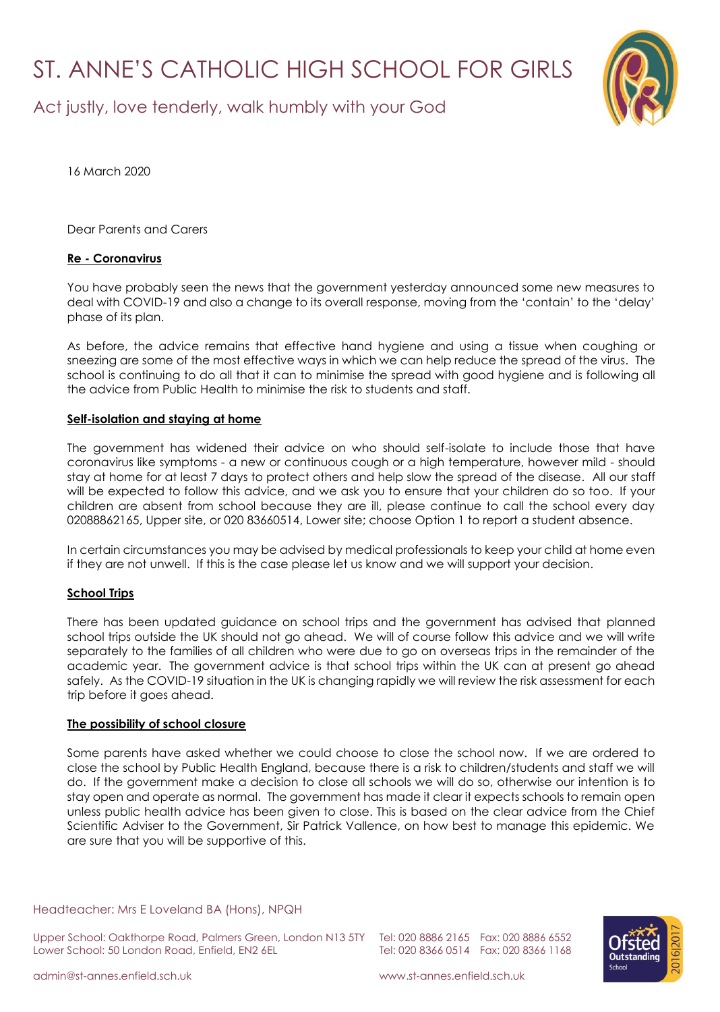# ST. ANNE'S CATHOLIC HIGH SCHOOL FOR GIRLS

Act justly, love tenderly, walk humbly with your God



16 March 2020

Dear Parents and Carers

## **Re - Coronavirus**

You have probably seen the news that the government yesterday announced some new measures to deal with COVID-19 and also a change to its overall response, moving from the 'contain' to the 'delay' phase of its plan.

As before, the advice remains that effective hand hygiene and using a tissue when coughing or sneezing are some of the most effective ways in which we can help reduce the spread of the virus. The school is continuing to do all that it can to minimise the spread with good hygiene and is following all the advice from Public Health to minimise the risk to students and staff.

### **Self-isolation and staying at home**

The government has widened their advice on who should self-isolate to include those that have coronavirus like symptoms - a new or continuous cough or a high temperature, however mild - should stay at home for at least 7 days to protect others and help slow the spread of the disease. All our staff will be expected to follow this advice, and we ask you to ensure that your children do so too. If your children are absent from school because they are ill, please continue to call the school every day 02088862165, Upper site, or 020 83660514, Lower site; choose Option 1 to report a student absence.

In certain circumstances you may be advised by medical professionals to keep your child at home even if they are not unwell. If this is the case please let us know and we will support your decision.

#### **School Trips**

There has been updated guidance on school trips and the government has advised that planned school trips outside the UK should not go ahead. We will of course follow this advice and we will write separately to the families of all children who were due to go on overseas trips in the remainder of the academic year. The government advice is that school trips within the UK can at present go ahead safely. As the COVID-19 situation in the UK is changing rapidly we will review the risk assessment for each trip before it goes ahead.

#### **The possibility of school closure**

Some parents have asked whether we could choose to close the school now. If we are ordered to close the school by Public Health England, because there is a risk to children/students and staff we will do. If the government make a decision to close all schools we will do so, otherwise our intention is to stay open and operate as normal. The government has made it clear it expects schools to remain open unless public health advice has been given to close. This is based on the clear advice from the Chief Scientific Adviser to the Government, Sir Patrick Vallence, on how best to manage this epidemic. We are sure that you will be supportive of this.

Headteacher: Mrs E Loveland BA (Hons), NPQH

Upper School: Oakthorpe Road, Palmers Green, London N13 5TY Tel: 020 8886 2165 Fax: 020 8886 6552 Lower School: 50 London Road, Enfield, EN2 6EL Tel: 020 8366 0514 Fax: 020 8366 1168